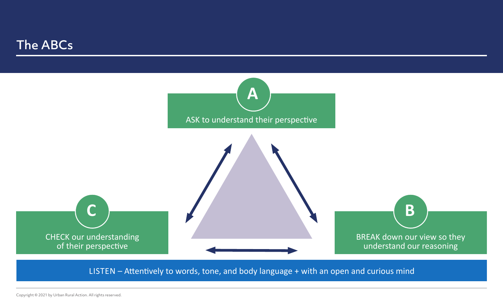## The ABCs



LISTEN – Attentively to words, tone, and body language + with an open and curious mind